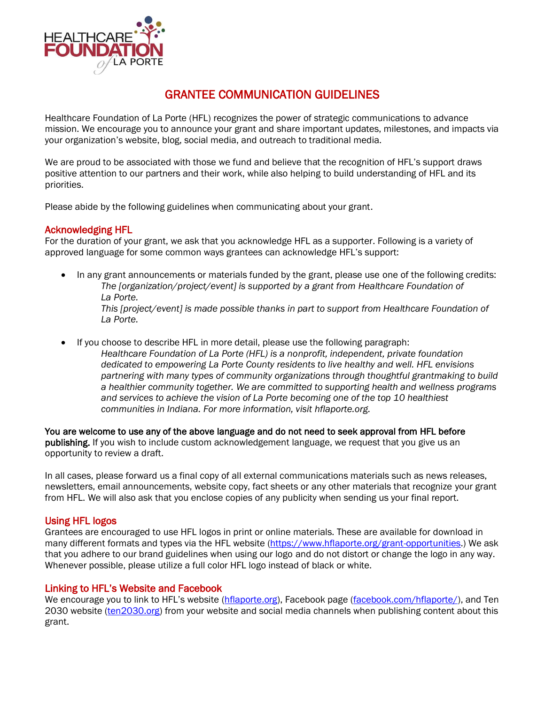

# GRANTEE COMMUNICATION GUIDELINES

Healthcare Foundation of La Porte (HFL) recognizes the power of strategic communications to advance mission. We encourage you to announce your grant and share important updates, milestones, and impacts via your organization's website, blog, social media, and outreach to traditional media.

We are proud to be associated with those we fund and believe that the recognition of HFL's support draws positive attention to our partners and their work, while also helping to build understanding of HFL and its priorities.

Please abide by the following guidelines when communicating about your grant.

# Acknowledging HFL

For the duration of your grant, we ask that you acknowledge HFL as a supporter. Following is a variety of approved language for some common ways grantees can acknowledge HFL's support:

- In any grant announcements or materials funded by the grant, please use one of the following credits: *The [organization/project/event] is supported by a grant from Healthcare Foundation of La Porte. This [project/event] is made possible thanks in part to support from Healthcare Foundation of La Porte.*
- If you choose to describe HFL in more detail, please use the following paragraph: *Healthcare Foundation of La Porte (HFL) is a nonprofit, independent, private foundation dedicated to empowering La Porte County residents to live healthy and well. HFL envisions partnering with many types of community organizations through thoughtful grantmaking to build a healthier community together. We are committed to supporting health and wellness programs and services to achieve the vision of La Porte becoming one of the top 10 healthiest communities in Indiana. For more information, visit hflaporte.org.*

You are welcome to use any of the above language and do not need to seek approval from HFL before publishing. If you wish to include custom acknowledgement language, we request that you give us an opportunity to review a draft.

In all cases, please forward us a final copy of all external communications materials such as news releases, newsletters, email announcements, website copy, fact sheets or any other materials that recognize your grant from HFL. We will also ask that you enclose copies of any publicity when sending us your final report.

# Using HFL logos

Grantees are encouraged to use HFL logos in print or online materials. These are available for download in many different formats and types via the HFL website [\(https://www.hflaporte.org/grant-opportunities.](https://www.hflaporte.org/grant-opportunities)) We ask that you adhere to our brand guidelines when using our logo and do not distort or change the logo in any way. Whenever possible, please utilize a full color HFL logo instead of black or white.

# Linking to HFL's Website and Facebook

We encourage you to link to HFL's website [\(hflaporte.org\)](http://hflaporte.org/), Facebook page [\(facebook.com/hflaporte/\)](http://www.facebook.com/hflaporte/), and Ten 2030 website [\(ten2030.org\)](http://www.ten2030.org/) from your website and social media channels when publishing content about this grant.